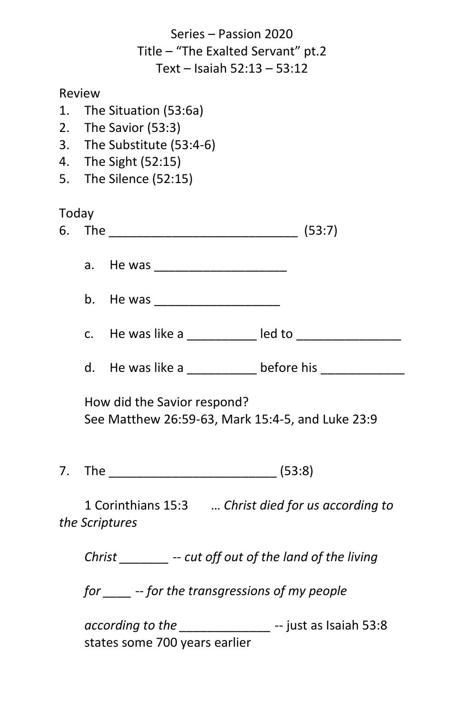Series – Passion 2020 Title – "The Exalted Servant" pt.2 Text – Isaiah 52:13 – 53:12

## Review

- 1. The Situation (53:6a)
- 2. The Savior (53:3)
- 3. The Substitute (53:4-6)
- 4. The Sight (52:15)
- 5. The Silence (52:15)

## Today

| 6 | _____ |  |  |
|---|-------|--|--|
|---|-------|--|--|

- a. He was \_\_\_\_\_\_\_\_\_\_\_\_\_\_\_\_\_\_\_
- b. He was
- c. He was like a can be a led to can be a led to
- d. He was like a controlled before his controlled before his controlled before his controlled before his controlled before his controlled before his controlled before his controlled before his controlled before his control

How did the Savior respond? See Matthew 26:59-63, Mark 15:4-5, and Luke 23:9

7. The (53:8)

1 Corinthians 15:3 … *Christ died for us according to the Scriptures*

*Christ \_\_\_\_\_\_\_ -- cut off out of the land of the living*

*for \_\_\_\_ -- for the transgressions of my people*

*according to the \_\_\_\_\_\_\_\_\_\_\_\_\_* -- just as Isaiah 53:8 states some 700 years earlier